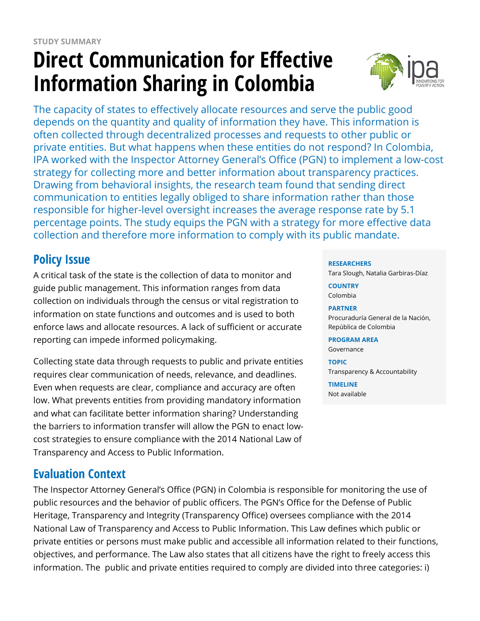# **Direct Communication for Effective Information Sharing in Colombia**



The capacity of states to effectively allocate resources and serve the public good depends on the quantity and quality of information they have. This information is often collected through decentralized processes and requests to other public or private entities. But what happens when these entities do not respond? In Colombia, IPA worked with the Inspector Attorney General's Office (PGN) to implement a low-cost strategy for collecting more and better information about transparency practices. Drawing from behavioral insights, the research team found that sending direct communication to entities legally obliged to share information rather than those responsible for higher-level oversight increases the average response rate by 5.1 percentage points. The study equips the PGN with a strategy for more effective data collection and therefore more information to comply with its public mandate.

# **Policy Issue**

A critical task of the state is the collection of data to monitor and guide public management. This information ranges from data collection on individuals through the census or vital registration to information on state functions and outcomes and is used to both enforce laws and allocate resources. A lack of sufficient or accurate reporting can impede informed policymaking.

Collecting state data through requests to public and private entities requires clear communication of needs, relevance, and deadlines. Even when requests are clear, compliance and accuracy are often low. What prevents entities from providing mandatory information and what can facilitate better information sharing? Understanding the barriers to information transfer will allow the PGN to enact lowcost strategies to ensure compliance with the 2014 National Law of Transparency and Access to Public Information.

## **Evaluation Context**

The Inspector Attorney General's Office (PGN) in Colombia is responsible for monitoring the use of public resources and the behavior of public officers. The PGN's Office for the Defense of Public Heritage, Transparency and Integrity (Transparency Office) oversees compliance with the 2014 National Law of Transparency and Access to Public Information. This Law defines which public or private entities or persons must make public and accessible all information related to their functions, objectives, and performance. The Law also states that all citizens have the right to freely access this information. The public and private entities required to comply are divided into three categories: i)

#### **RESEARCHERS**

Tara Slough, Natalia Garbiras-Díaz

**COUNTRY** Colombia

#### **PARTNER**

Procuraduría General de la Nación, República de Colombia

**PROGRAM AREA** Governance

**TOPIC** Transparency & Accountability

**TIMELINE** Not available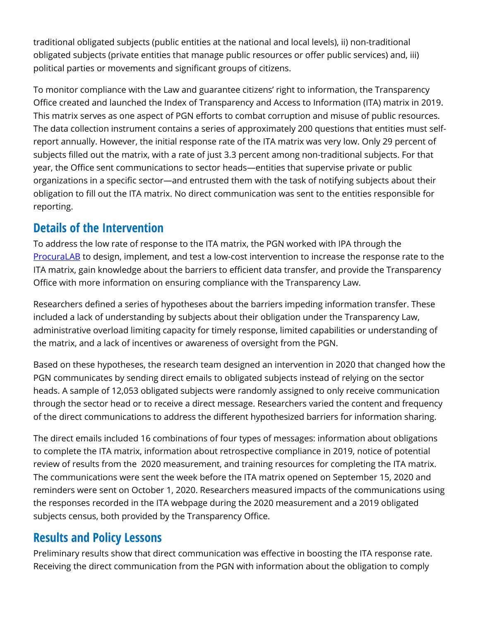traditional obligated subjects (public entities at the national and local levels), ii) non-traditional obligated subjects (private entities that manage public resources or offer public services) and, iii) political parties or movements and significant groups of citizens.

To monitor compliance with the Law and guarantee citizens' right to information, the Transparency Office created and launched the Index of Transparency and Access to Information (ITA) matrix in 2019. This matrix serves as one aspect of PGN efforts to combat corruption and misuse of public resources. The data collection instrument contains a series of approximately 200 questions that entities must selfreport annually. However, the initial response rate of the ITA matrix was very low. Only 29 percent of subjects filled out the matrix, with a rate of just 3.3 percent among non-traditional subjects. For that year, the Office sent communications to sector heads—entities that supervise private or public organizations in a specific sector—and entrusted them with the task of notifying subjects about their obligation to fill out the ITA matrix. No direct communication was sent to the entities responsible for reporting.

### **Details of the Intervention**

To address the low rate of response to the ITA matrix, the PGN worked with IPA through the [ProcuraLAB](https://www.poverty-action.org/procuralab) to design, implement, and test a low-cost intervention to increase the response rate to the ITA matrix, gain knowledge about the barriers to efficient data transfer, and provide the Transparency Office with more information on ensuring compliance with the Transparency Law.

Researchers defined a series of hypotheses about the barriers impeding information transfer. These included a lack of understanding by subjects about their obligation under the Transparency Law, administrative overload limiting capacity for timely response, limited capabilities or understanding of the matrix, and a lack of incentives or awareness of oversight from the PGN.

Based on these hypotheses, the research team designed an intervention in 2020 that changed how the PGN communicates by sending direct emails to obligated subjects instead of relying on the sector heads. A sample of 12,053 obligated subjects were randomly assigned to only receive communication through the sector head or to receive a direct message. Researchers varied the content and frequency of the direct communications to address the different hypothesized barriers for information sharing.

The direct emails included 16 combinations of four types of messages: information about obligations to complete the ITA matrix, information about retrospective compliance in 2019, notice of potential review of results from the 2020 measurement, and training resources for completing the ITA matrix. The communications were sent the week before the ITA matrix opened on September 15, 2020 and reminders were sent on October 1, 2020. Researchers measured impacts of the communications using the responses recorded in the ITA webpage during the 2020 measurement and a 2019 obligated subjects census, both provided by the Transparency Office.

### **Results and Policy Lessons**

Preliminary results show that direct communication was effective in boosting the ITA response rate. Receiving the direct communication from the PGN with information about the obligation to comply